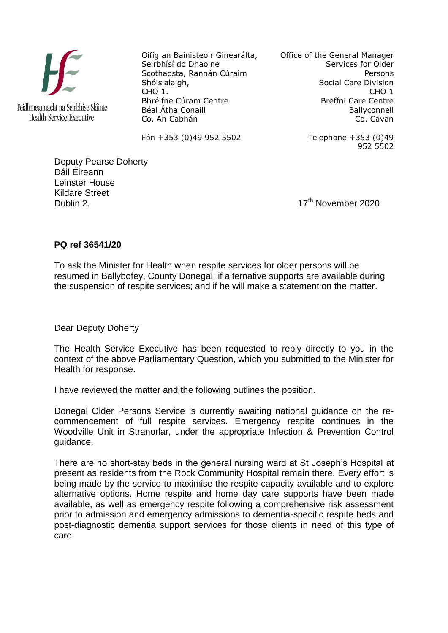

Oifig an Bainisteoir Ginearálta, Seirbhísí do Dhaoine Scothaosta, Rannán Cúraim Shóisialaigh, CHO 1. Bhréifne Cúram Centre Béal Átha Conaill Co. An Cabhán

Office of the General Manager Services for Older Persons Social Care Division  $CHO<sub>1</sub>$ Breffni Care Centre Ballyconnell Co. Cavan

Fón +353 (0)49 952 5502

 Telephone +353 (0)49 952 5502

Deputy Pearse Doherty Dáil Éireann Leinster House Kildare Street Dublin 2. 17th November 2020

## **PQ ref 36541/20**

To ask the Minister for Health when respite services for older persons will be resumed in Ballybofey, County Donegal; if alternative supports are available during the suspension of respite services; and if he will make a statement on the matter.

Dear Deputy Doherty

The Health Service Executive has been requested to reply directly to you in the context of the above Parliamentary Question, which you submitted to the Minister for Health for response.

I have reviewed the matter and the following outlines the position.

Donegal Older Persons Service is currently awaiting national guidance on the recommencement of full respite services. Emergency respite continues in the Woodville Unit in Stranorlar, under the appropriate Infection & Prevention Control guidance.

There are no short-stay beds in the general nursing ward at St Joseph's Hospital at present as residents from the Rock Community Hospital remain there. Every effort is being made by the service to maximise the respite capacity available and to explore alternative options. Home respite and home day care supports have been made available, as well as emergency respite following a comprehensive risk assessment prior to admission and emergency admissions to dementia-specific respite beds and post-diagnostic dementia support services for those clients in need of this type of care